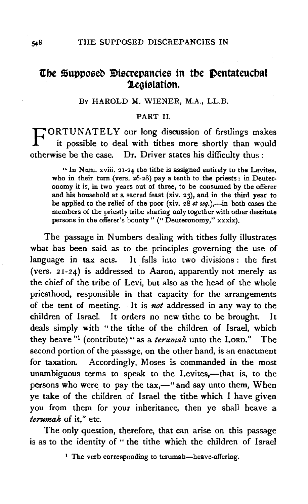## **The Supposed Discrepancies in the Dentateuchal Legislation.**

## Bv HAROLD M. WIENER, M.A., LL.B.

## PART II.

FORTUNATELY our long discussion of firstlings makes it possible to deal with tithes more shortly than would otherwise be the case. Dr. Driver states his difficulty thus :

"In Num. xviii. 21-24 the tithe is assigned entirely to the Levites, who in their turn (vers. 26-28) pay a tenth to the priests: in Deuteronomy it is, in two years out of three, to be consumed by the offerer and his household at a sacred feast (xiv. 23), and in the third year to be applied to the relief of the poor (xiv. 28 *et seq.*),-in both cases the members of the priestly tribe sharing only together with other destitute persons in the offerer's bounty" ("Deuteronomy," xxxix).

The passage in Numbers dealing with tithes fully illustrates what has been said as to the principles governing the use of language in tax acts. It falls into two divisions : the first (vers. 21-24) is addressed to Aaron, apparently not merely as the chief of the tribe of Levi, but also as the head of the whole priesthood, responsible in that capacity for the arrangements of the tent of meeting. It is *not* addressed in any way to the children of Israel. It orders no new tithe to be brought. It deals simply with " the tithe of the children of Israel, which they heave "1 (contribute) " as a *terumah* unto the LORD." The second portion of the passage, on the other hand, is an enactment for taxation. Accordingly, Moses is commanded in the most unambiguous terms to speak to the Levites,-that is, to the persons who were to pay the tax,—" and say unto them, When ye take of the children of Israel the tithe which I have given you from them for your inheritance, then ye shall heave a *terumah* of it,'' etc.

The only question, therefore, that can arise on this passage is as to the identity of "the tithe which the children of Israel

<sup>1</sup> The verb corresponding to terumah-heave-offering.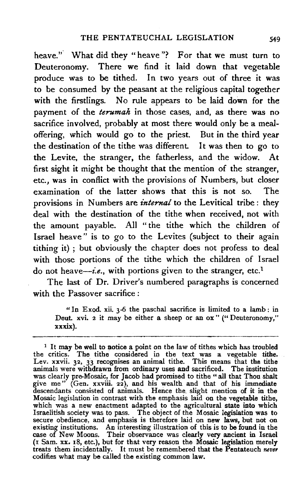heave." What did they "heave"? For that we must turn to Deuteronomy. There we find it laid down that vegetable produce was to be tithed. In two years out of three it was to be consumed by the peasant at the religious capital together with the firstlings. No rule appears to be laid down for the payment of the *terumah* in those cases, and, as there was no sacrifice involved, probably at most there would only be a mealoffering, which would go to the priest. But in the third year the destination of the tithe was different. It was then to go to the Levite, the stranger, the fatherless, and the widow. At first sight it might be thought that the mention of the stranger, etc., was in conflict with the provisions of Numbers, but closer examination of the latter shows that this is not so. The provisions in Numbers are *internal* to the Levitical tribe: they deal with the destination of the tithe when received, not with the amount payable. All " the tithe which the children of Israel heave" is to go to the Levites (subject to their again tithing it) ; but obviously the chapter does not profess to deal with those portions of the tithe which the children of Israel do not heave—*i.e.*, with portions given to the stranger, etc.<sup>1</sup>

The last of Dr. Driver's numbered paragraphs is concerned with the Passover sacrifice :

"In Exod. xii. 3-6 the paschal sacrifice is limited to a lamb: in Deut. xvi. 2 it may be either a sheep or an ox" ("Deuteronomy," xxxix).

<sup>&</sup>lt;sup>1</sup> It may be well to notice a point on the law of tithes which has troubled the critics. The tithe considered in the text was a vegetable tithe. Lev. xxvii. 32, 33 recognises an animal tithe. This means that tbe tithe animals were withdrawn from ordinary uses and sacrificed. The institution was clearly pre-Mosaic, for Jacob had promised to tithe "all that Thou shalt give me" (Gen. xxviii. 22), and his wealth and that of his immediate descendants consisted of animals. Hence the. slight mention of it in the Mosaic legislation in contrast with the emphasis laid on the vegetable tithe, which was a new enactment adapted to the agricultural state into which Israelitish society was to pass. The object of the Mosaic legislation was to secure obedience, and emphasis is therefore laid on new laws, but not on existing institutions. An interesting illustration of this is to be found in the case of New Moons. Their observance was clearly very ancient in Israel (I Sam. xx. 18, etc.), but for that very reason the Mosaic legislation merely treats them incidentally. It must be remembered that the Pentateuch *never*  codifies what may be called the existing common law.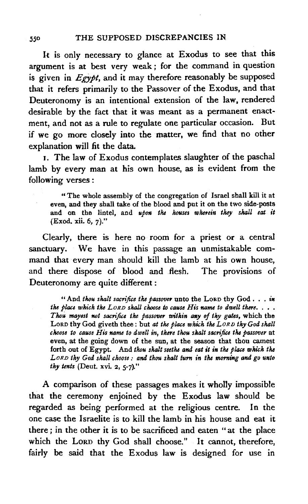It is only necessary to glance at Exodus to see that this argument is at best very weak ; for the command in question is given in *Egypt,* and it may therefore reasonably be supposed that it refers primarily to the Passover of the Exodus, and that Deuteronomy is an intentional extension of the law, rendered desirable by the fact that it was meant as a permanent enactment, and not as a rule to regulate one particular occasion. But if we go more closely into the matter, we find that no other explanation will fit the data.

1. The law of Exodus contemplates slaughter of the paschal lamb by every man at his own house, as is evident from the following verses :

"The whole assembly of the congregation of Israel shall kill it at even, and they shall take of the blood and put it on the two side-posts and on the lintel, and *upon the houses wherein they shall eat. it*  (Exod. xii. 6, 7)."

Clearly, there is here no room for a priest or a central sanctuary. We have in this passage an unmistakable command that every man should kill the lamb at his own house, and there dispose of blood and flesh. The provisions of Deuteronomy are quite different :

"And thou shalt sacrifice the passover unto the LORD thy God . . . in *the place which the LORD shall choose to cause His name to dwell there.*  $\ldots$ . *Thou mayest Mt sacrifice the passover within a#Y of tky gates,* which the LoRD thy God giveth thee: but *at the place which the LoRD thy God shall choose to cause His name to dwell in, there thou shalt sacrifice the passover* at even, at the going down of the sun, at the season that thou camest forth out of Egypt. And *thou shalt seethe and eat it in the place which the LoRD thy God shall choose: and thou shalt tum in the morning and go unto thy tents* (Deut. xvi. 2, 5-7)."

A comparison of these passages makes it wholly impossible that the ceremony enjoined by the Exodus law should be regarded as being performed at the religious centre. In the one case the Israelite is to kill the lamb in his house and eat it there ; in the other it is to be sacrificed and eaten " at the place which the LORD thy God shall choose." It cannot, therefore, fairly be said that the Exodus law is designed for use in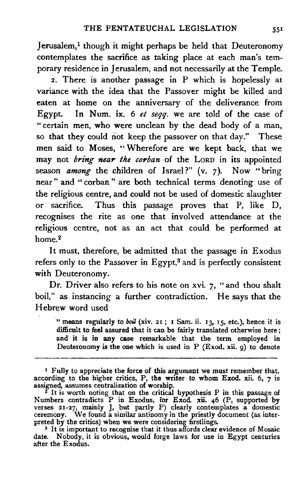Jerusalem,<sup>1</sup> though it might perhaps be held that Deuteronomy contemplates the sacrifice as taking place at each man's temporary residence in Jerusalem, and not necessarily at the Temple.

2. There is another passage in P which is hopelessly at variance with the idea that the Passover might be killed and eaten at home on the anniversary of the deliverance from Egypt. In Num. ix. 6 *et seqq.* we are told of the case of " certain men, who were unclean by the dead body of a man, so that they could not keep the passover on that day." These men said to Moses, " Wherefore are we kept back, that we may not *bring near the corban* of the LoRD in its appointed season *among* the children of Israel?" (v. 7). Now "bring near " and " corban " are both technical terms denoting use of the religious centre, and could not be used of domestic slaughter or sacrifice. Thus this passage proves that P, like D, recognises the rite as one that involved attendance at the religious centre, not as an act that could be performed at  $home<sub>2</sub>$ 

It must, therefore, be admitted that the passage in Exodus refers only to the Passover in Egypt, $3$  and is perfectly consistent with Deuteronomy.

Dr. Driver also refers to his note on xvi.  $7$ , "and thou shalt boil," as instancing a further contradiction. He says that the Hebrew word used

·u means regularly to *boil* (xiv. 21 ; 1 Sam. ii. 13, 15, etc.), hence it is difficult to feel assured that it can be fairly translated otherwise here; and it is in any case remarkable that the term employed in Deuteronomy is the one which is used in  $P$  (Exod. xii. 9) to denote

<sup>3</sup> It is important to recognise that it thus affords clear evidence of Mosaic date. Nobody, it is obvious, would forge laws for use in Egypt centuries after the Exodus.

<sup>&</sup>lt;sup>1</sup> Fully to appreciate the force of this argument we must remember that, according to the higher critics, P, the writer to whom Exod. xii. 6, 7 is assigned, assumes centralization of worship.

assigned, assumes centralization of worship.<br><sup>2</sup> It is worth noting that on the critical hypothesis P in this passage of Numbers contradicts P in Exodus, for Exod. xii. 46 (P, supported by verses 21-27, mainly J, but partly P) clearly contemplates a domestic ceremony. We found a similar antinomy in the priestly document (as interpreted by the critics) when we were considering firstlings.<br><sup>3</sup> It is important to recognise that it thus affords clear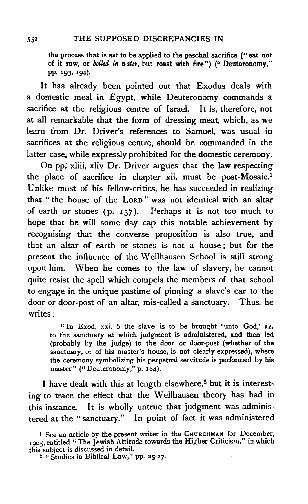the process that is not to be applied to the paschal sacrifice ("eat not of it raw, or boiled *in water,* but roast with fire") ("Deuteronomy," pp. 193, 194).

It has already been pointed out that Exodus deals with a domestic meal in Egypt, while Deuteronomy commands a sacrifice at the religious centre of Israel. It is, therefore, not at all remarkable that the form of dressing meat, which, as we learn from Dr. Driver's references to Samuel, was usual in sacrifices at the religious centre, should be commanded in the latter case, while expressly prohibited for the domestic ceremony.

On pp. xliii, xliv Dr. Driver argues that the law respecting the place of sacrifice in chapter xii. must be post-Mosaic.1 Unlike most of his fellow-critics, he has succeeded in realizing that " the house of the LoRD " was not identical with an altar of earth or stones (p. 137). Perhaps it is not too much to hope that he will some day cap this notable achievement by recognising that the converse proposition is also true, and that an altar of earth or stones is not a house ; but for the present the influence of the Wellhausen School is still strong upon him. When he comes to the law of slavery, he cannot quite resist the spell which compels the members of that school to engage in the unique pastime of pinning a slave's ear to the door or door-post of an altar, mis-called a sanctuary. Thus, he writes:

" In Exod. xxi. 6 the slave is to be brought 'unto God,'  $i.e.$ to the sanctuary at which judgment is administered, and then led (probably by the judge) to the door or door-post (whether of the sanctuary, or of his master's house, is not clearly expressed), where the ceremony symbolizing his perpetual servitude is performed by his master" ("Deuteronomy," p. 184).

I have dealt with this at length elsewhere,<sup>2</sup> but it is interesting to trace the effect that the Wellhausen theory has had in this instance. It is wholly untrue that judgment was administered at the "sanctuary." In point of fact it was administered

<sup>1</sup> See an article by the present writer in the CHURCHMAN for December, 1905, entitled "The Jewish Attitude towards the Higher Criticism," in which this subject is discussed in detail. 2 "Studies in Biblical Law," pp. *25-27.*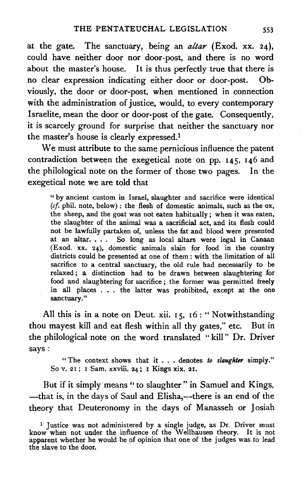at the gate. The sanctuary, being an *altar* (Exod. xx. 24), could have neither door nor door-post, and there is no word about the master's house. It is thus perfectly true that there is no clear expression indicating either door or door-post. Obviously, the door or door-post, when mentioned in connection with the administration of justice, would, to every contemporary Israelite, mean the door or door-post of the gate. Consequently, it is scarcely ground for surprise that neither the sanctuary nor the master's house is clearly expressed.<sup>1</sup>

We must attribute to the same pernicious influence the patent contradiction between the exegetical note on pp. 145, 146 and the philological note on the former of those two pages. In the exegetical note we are. told that

" by ancient custom in Israel, slaughter and sacrifice were identical *(cf.* phil. note, below) : the flesh of domestic animals, such as the ox, the sheep, and the goat was not eaten habitually; when it was eaten, the slaughter of the animal was a sacrificial act, and its flesh could not be lawfully partaken of, unless the fat and blood were presented at an altar. . . . So long as local altars were legal in Canaan (Exod. xx. 24), domestic animals slain for food in the country districts could be presented at one of them : with the limitation of all sacrifice to a central sanctuary, the old rule had necessarily to be relaxed; a distinction had to be drawn between slaughtering for food and slaughtering for sacrifice ; the former was permitted freely in all places . . . the latter was prohibited, except at the one sanctuary."

All this is in a note on Deut. xii. 15, 16 : "Notwithstanding thou mayest kill and eat flesh within all thy gates," etc. But in the philological note on the word translated " kill" Dr. Driver says:

"The context shows that it . . . denotes *to slaughter* simply." So v. 21; I Sam. xxviii. 24; I Kings xix. 21.

But if it simply means " to slaughter" in Samuel and Kings, -that is, in the days of Saul and Elisha, --- there is an end of the theory that Deuteronomy in the days of Manasseh or Josiah

<sup>&</sup>lt;sup>1</sup> Justice was not administered by a single judge, as Dr. Driver must know when not under the influence of the W ellhausen theory. It is not apparent whether he would be of opinion that one of the judges was to lead the slave to the door.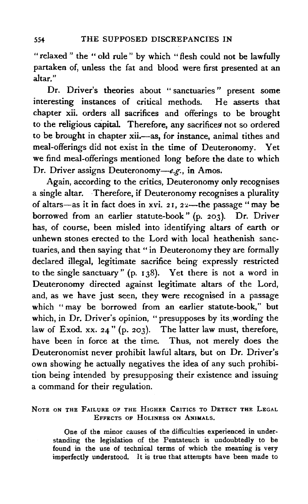"relaxed" the "old rule" by which "flesh could not be lawfully partaken of, unless the fat and blood were first presented at an altar."

Dr. Driver's theories about " sanctuaries " present some interesting instances of critical methods. He asserts that chapter xii. orders all sacrifices and offerings to be brought to the religious capital. Therefore, any sacrifices not so ordered to be brought in chapter xii.-as, for instance, animal tithes and meal-offerings did not exist in the time of Deuteronomy. Yet we find meal-offerings mentioned long before the date to which Dr. Driver assigns Deuteronomy-e.g., in Amos.

Again, according to the critics, Deuteronomy only recognises a single altar. Therefore, if Deuteronomy recognises a plurality of altars-as it in fact does in xvi. 21,  $22$ --the passage "may be borrowed from an earlier statute-book" (p. 203). Dr. Driver has, of course, been misled into identifying altars of earth or unhewn stones erected to the Lord with local heathenish sanctuaries, and then saying that " in Deuteronomy they are formally declared illegal, legitimate sacrifice being expressly restricted to the single sanctuary " (p. I 38). Yet there is not a word in Deuteronomy directed against legitimate altars of the Lord, and, as we have just seen, they were recognised in a passage which "may be borrowed from an earlier statute-book," but which, in Dr. Driver's opinion, "presupposes by its wording the law of Exod. xx. 24" (p. 203). The latter law must, therefore, have been in force at the time. Thus, not merely does the Deuteronomist never prohibit lawful altars, but on Dr. Driver's own showing he actually negatives the idea of any such prohibition being intended by presupposing their existence and issuing a command for their regulation.

NOTE ON THE FAILURE OF THE HIGHER CRITICS TO DETECT THE LEGAL EFFECTs op HoLINESS ON ANIMALS.

One of the minor causes of the difficulties experienced in understanding the legislation of the Pentateuch is undoubtedly to be found in tbe use of technical terms of which the meaning is very imperfectly understood. It is true that attempts have been made to